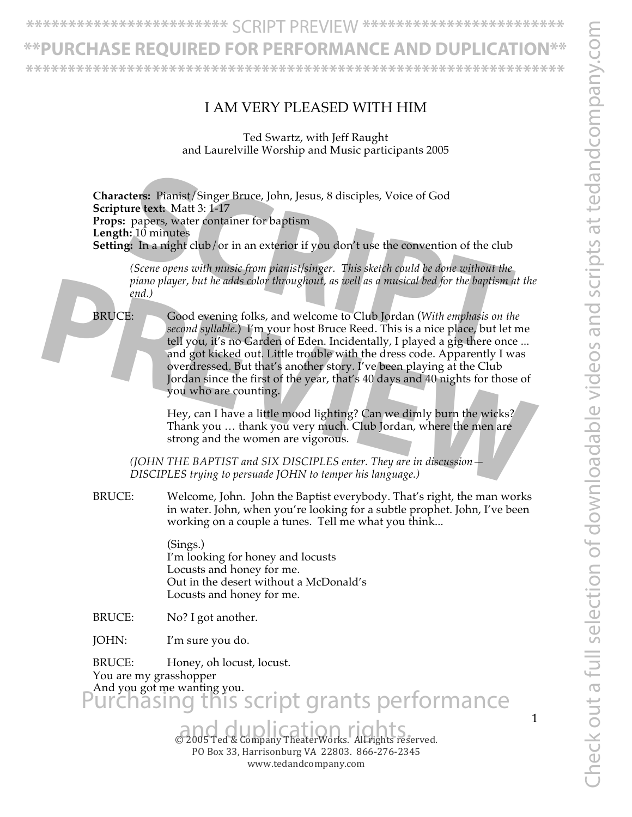#### **\*\*PURCHASE REQUIRED FOR PERFORMANCE AND DUPLICATION\*\***

**\*\*\*\*\*\*\*\*\*\*\*\*\*\*\*\*\*\*\*\*\*\*\*\*\*\*\*\*\*\*\*\*\*\*\*\*\*\*\*\*\*\*\*\*\*\*\*\*\*\*\*\*\*\*\*\*\*\*\*\*\*\*\*\***

#### I AM VERY PLEASED WITH HIM

Ted Swartz, with Jeff Raught and Laurelville Worship and Music participants 2005

**Characters:** Pianist/Singer Bruce, John, Jesus, 8 disciples, Voice of God **Scripture text:** Matt 3: 1-17 **Props:** papers, water container for baptism **Length:** 10 minutes **Setting:** In a night club/or in an exterior if you don't use the convention of the club **SCRIP EXECT:**<br> **SCRIP EXECT:** Papers, water container for baptism<br> **SCRIP EXECT:** Matt 3: 1-17<br>
papers, water container for baptism<br> **SCRIP PARTS:** This sketch could be done without the<br> **SCRIP OPERS** (Scene opens with mu

*(Scene opens with music from pianist/singer. This sketch could be done without the piano player, but he adds color throughout, as well as a musical bed for the baptism at the end.)*

BRUCE: Good evening folks, and welcome to Club Jordan (*With emphasis on the second syllable.*) I'm your host Bruce Reed. This is a nice place, but let me tell you, it's no Garden of Eden. Incidentally, I played a gig there once ... and got kicked out. Little trouble with the dress code. Apparently I was overdressed. But that's another story. I've been playing at the Club Jordan since the first of the year, that's 40 days and 40 nights for those of you who are counting. piano player, but he adds color throughout, as well as a musical bed for the baptism at the<br>end.)<br>**BRUCE:**<br>**Properties:**<br>**PREVIEW**<br>**PREVIEW**:<br>**PREVIEW**<br>**PREVIEW**:<br>**PREVIEW**:<br>**PREVIEW**:<br>**PREVIEW**:<br>**PREVIEW**:<br>**PREVIEW**:<br>**PRE** 

Hey, can I have a little mood lighting? Can we dimly burn the wicks? Thank you … thank you very much. Club Jordan, where the men are strong and the women are vigorous.

*(JOHN THE BAPTIST and SIX DISCIPLES enter. They are in discussion— DISCIPLES trying to persuade JOHN to temper his language.)* 

BRUCE: Welcome, John. John the Baptist everybody. That's right, the man works in water. John, when you're looking for a subtle prophet. John, I've been working on a couple a tunes. Tell me what you think...

> (Sings.) I'm looking for honey and locusts Locusts and honey for me. Out in the desert without a McDonald's Locusts and honey for me.

BRUCE: No? I got another.

JOHN: I'm sure you do.

BRUCE: Honey, oh locust, locust. You are my grasshopper And you got me wanting you. urchasing this script grants performance

> $\odot$  2005 Ted & Company TheaterWorks. All rights reserved. PO Box 33, Harrisonburg VA 22803. 866-276-2345 www.tedandcompany.com

1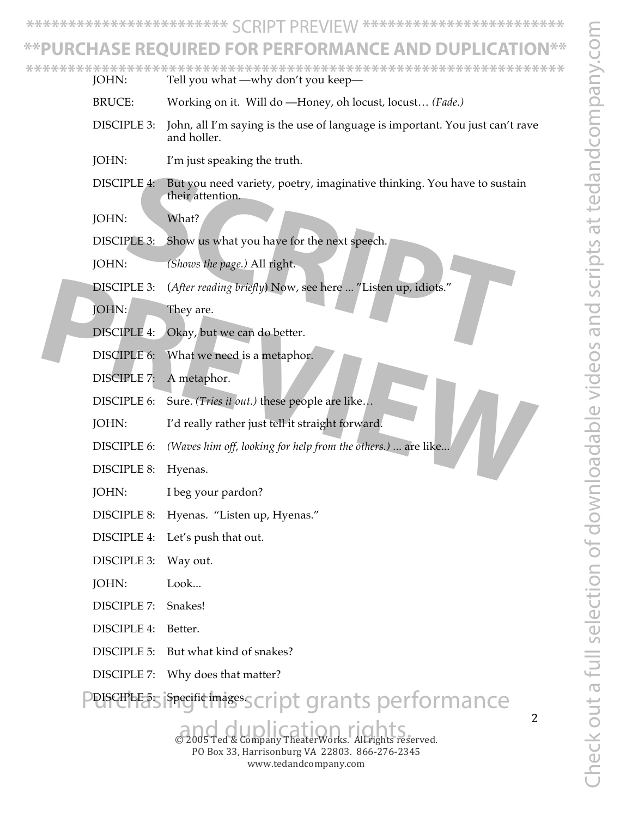Check out a full selection of downloadable videos and scripts at tedandcompany.com Theck out a full selection of downloadable videos and scripts at tedandcompany.co

**\*\*\*\*\*\*\*\*\*\*\*\*\*\*\*\*\*\*\*\*\*\*\*\*** SCRIPT PREVIEW **\*\*\*\*\*\*\*\*\*\*\*\*\*\*\*\*\*\*\*\*\*\*\*\***

#### PURCHASE REQUIRED FOR PERFORMANCE AND DUP

JOHN: Tell you what —why don't you keep— **\*\*\*\*\*\*\*\*\*\*\*\*\*\*\*\*\*\*\*\*\*\*\*\*\*\*\*\*\*\*\*\*\*\*\*\*\*\*\*\*\*\*\*\*\*\*\*\*\*\*\*\*\*\*\*\*\*\*\*\*\*\*\*\***

- BRUCE: Working on it. Will do —Honey, oh locust, locust… *(Fade.)*
- DISCIPLE 3: John, all I'm saying is the use of language is important. You just can't rave and holler.
- JOHN: I'm just speaking the truth.
- DISCIPLE 4: But you need variety, poetry, imaginative thinking. You have to sustain their attention. PLE 4: But you need variety, poetry, imaginative thinking. You have to sustain<br>their attention.<br>What?<br>PLE 3: Show us what you have for the next speech.<br>(Shows the page.) All right.<br>PLE 3: (After reading briefly) Now, see h
- JOHN: What?
- DISCIPLE 3: Show us what you have for the next speech.
- JOHN: *(Shows the page.)* All right.
- DISCIPLE 3: (*After reading briefly*) Now, see here ... "Listen up, idiots." **PREVIEW 3:** (After reading briefly) Now, see here ... "Listen up, idiots."<br> **PREVIEW 4:** Okay, but we can do better.<br> **PREVIEW 4:** Okay, but we can do better.<br> **PREVIEW 6:** What we need is a metaphor.<br> **PREVIEW 7:** A meta
	- JOHN: They are.
	- DISCIPLE 4: Okay, but we can do better.
	- DISCIPLE 6: What we need is a metaphor.
	- DISCIPLE 7: A metaphor.
	- DISCIPLE 6: Sure. *(Tries it out.)* these people are like...
	- JOHN: I'd really rather just tell it straight forward.
	- DISCIPLE 6: *(Waves him off, looking for help from the others.) .*.. are like...
	- DISCIPLE 8: Hyenas.
	- JOHN: I beg your pardon?
	- DISCIPLE 8: Hyenas. "Listen up, Hyenas."
	- DISCIPLE 4: Let's push that out.
	- DISCIPLE 3: Way out.
	- JOHN: Look...
	- DISCIPLE 7: Snakes!
	- DISCIPLE 4: Better.
	- DISCIPLE 5: But what kind of snakes?
	- DISCIPLE 7: Why does that matter?

DISCIPLE 5: Specific images. pt grants performance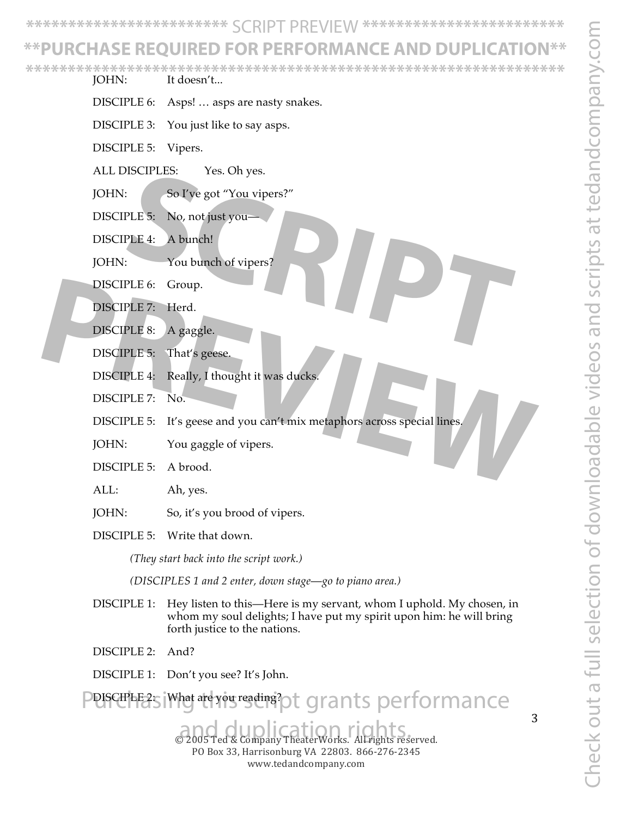#### **\*\*PURCHASE REQUIRED FOR PERFORMANCE AND DUPLICATION\*\***

**\*\*\*\*\*\*\*\*\*\*\*\*\*\*\*\*\*\*\*\*\*\*\*\*\*\*\*\*\*\*\*\*\*\*\*\*\*\*\*\*\*\*\*\*\*\*\*\*\*\*\*\*\*\*\*\*\*\*\*\*\*\*\*\***

- JOHN: It doesn't...
- DISCIPLE 6: Asps! … asps are nasty snakes.
- DISCIPLE 3: You just like to say asps.
- DISCIPLE 5: Vipers.
- ALL DISCIPLES: Yes. Oh yes.
- JOHN: So I've got "You vipers?" So I've got "You vipers?"<br>
PLE 5: No, not just you—<br>
PLE 4: A bunch!<br>
<br>
SCRIPT BE 6: Group.<br>
PLE 7: Herd.<br>
PLE 8: A gaggle.<br>
PLE 5: That's geese.
- DISCIPLE 5: No, not just you-
- DISCIPLE 4: A bunch!
- JOHN: You bunch of vipers?
- DISCIPLE 6: Group.
- DISCIPLE 7: Herd.
- DISCIPLE 8: A gaggle.
- DISCIPLE 5: That's geese.
- DISCIPLE 4: Really, I thought it was ducks.
- DISCIPLE 7: No.
- DISCIPLE 5: It's geese and you can't mix metaphors across special lines. **PRECIPLE 7:** Herd.<br> **PRECIPLE 7:** Herd.<br> **PRECIPLE 8:** A gaggle.<br> **PRECIPLE 4:** Really, I thought it was ducks<br> **PRECIPLE 7:** No.<br> **PRECIPLE 7:** No.<br> **PRECIPLE 5:** It's geese and you can't mix metaphors across special lin
	- JOHN: You gaggle of vipers.
	- DISCIPLE 5: A brood.
	- ALL: Ah, yes.
	- JOHN: So, it's you brood of vipers.
	- DISCIPLE 5: Write that down.

*(They start back into the script work.)*

*(DISCIPLES 1 and 2 enter, down stage*—*go to piano area.)*

- DISCIPLE 1: Hey listen to this—Here is my servant, whom I uphold. My chosen, in whom my soul delights; I have put my spirit upon him: he will bring forth justice to the nations.
- DISCIPLE 2: And?
- DISCIPLE 1: Don't you see? It's John.

DISCIPLE 2: What are you reading? grants performance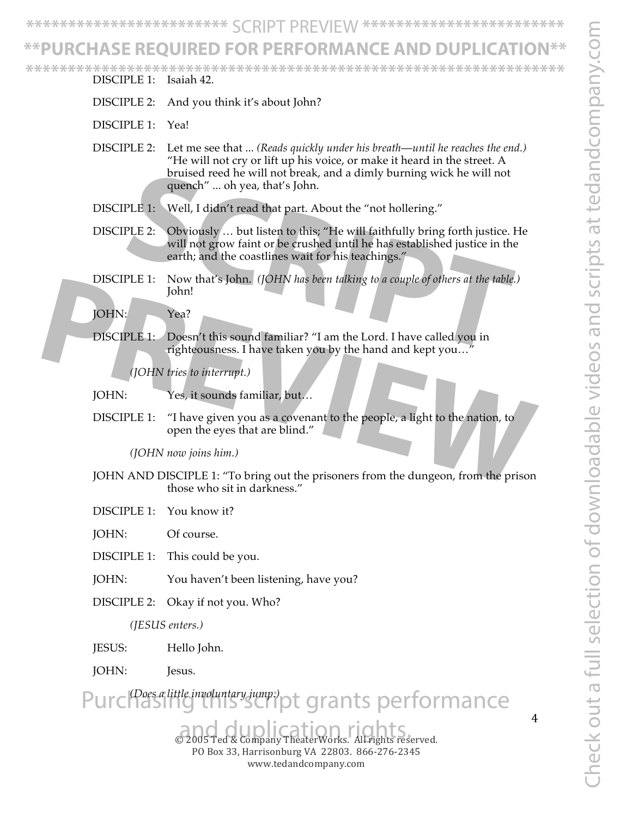#### **\*\*PURCHASE REQUIRED FOR PERFORMANCE AND DUPLICATION\*\***

**\*\*\*\*\*\*\*\*\*\*\*\*\*\*\*\*\*\*\*\*\*\*\*\*\*\*\*\*\*\*\*\*\*\*\*\*\*\*\*\*\*\*\*\*\*\*\*\*\*\*\*\*\*\*\*\*\*\*\*\*\*\*\*\***

- DISCIPLE 1: Isaiah 42.
- DISCIPLE 2: And you think it's about John?
- DISCIPLE 1: Yea!
- DISCIPLE 2: Let me see that ... *(Reads quickly under his breath*—*until he reaches the end.)* "He will not cry or lift up his voice, or make it heard in the street. A bruised reed he will not break, and a dimly burning wick he will not quench" ... oh yea, that's John.
- DISCIPLE 1: Well, I didn't read that part. About the "not hollering."
- DISCIPLE 2: Obviously … but listen to this; "He will faithfully bring forth justice. He will not grow faint or be crushed until he has established justice in the earth; and the coastlines wait for his teachings." provided reed ne will not break, and a dimly burning wick he will not<br>quench" ... oh yea, that's John.<br>PLE 1: Well, I didn't read that part. About the "not hollering."<br>PLE 2: Obviously ... but listen to this; "He will fait
- DISCIPLE 1: Now that's John. *(JOHN has been talking to a couple of others at the table.)* John!

JOHN: Yea?

DISCIPLE 1: Doesn't this sound familiar? "I am the Lord. I have called you in righteousness. I have taken you by the hand and kept you…"

*(JOHN tries to interrupt.)*

JOHN: Yes, it sounds familiar, but…

DISCIPLE 1: "I have given you as a covenant to the people, a light to the nation, to open the eyes that are blind." **PREVIEW AND PREVIEW TO A SUBSERVER CONSUMING THE SUBSERVER CONSUMING THE SUBSERVERT OF THE SUBSERVERT OF THE SUBSERVERT OF THE SUBSERVERT OF THE SUBSERVERT OF THE SUBSERVERT OF THE SUBSERVERT OF THE SUBSERVERT OF THE SUBS** 

*(JOHN now joins him.)*

- JOHN AND DISCIPLE 1: "To bring out the prisoners from the dungeon, from the prison those who sit in darkness."
- DISCIPLE 1: You know it?

JOHN: Of course.

DISCIPLE 1: This could be you.

- JOHN: You haven't been listening, have you?
- DISCIPLE 2: Okay if not you. Who?

*(JESUS enters.)*

- JESUS: Hello John.
- JOHN: Jesus.

*(Does a little involuntary jump.)* woluntary jump.) pt grants performance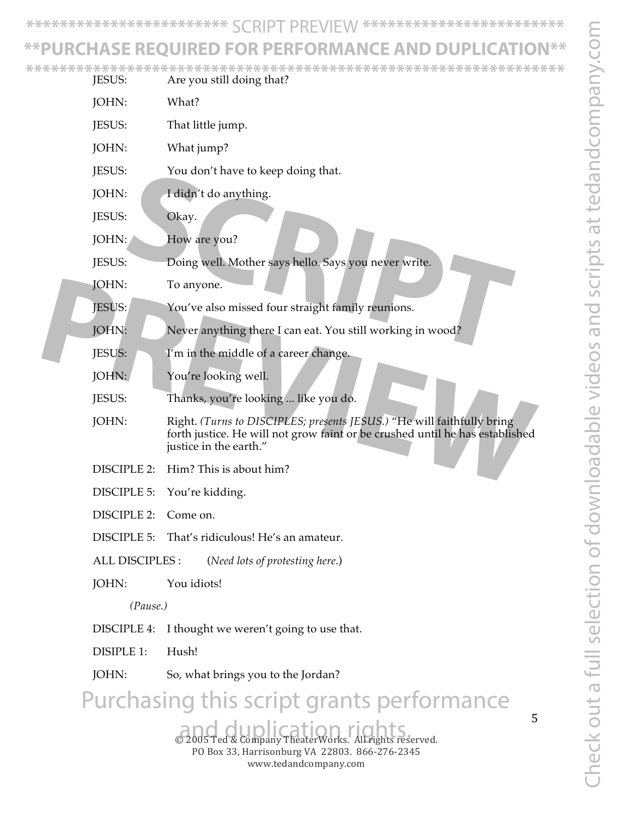### **\*\*PURCHASE REQUIRED FOR PERFORMANCE AND DUPLICATION\*\***

|  |                    | ADE REQUIREV FUR PERF                                                                                                                                                            |
|--|--------------------|----------------------------------------------------------------------------------------------------------------------------------------------------------------------------------|
|  | JESUS:             | Are you still doing that?                                                                                                                                                        |
|  | JOHN:              | What?                                                                                                                                                                            |
|  | JESUS:             | That little jump.                                                                                                                                                                |
|  | JOHN:              | What jump?                                                                                                                                                                       |
|  | JESUS:             | You don't have to keep doing that.                                                                                                                                               |
|  | JOHN:              | I didn't do anything.                                                                                                                                                            |
|  | JESUS:             | Okay.                                                                                                                                                                            |
|  | JOHN:              | How are you?                                                                                                                                                                     |
|  | JESUS:             | Doing well. Mother says hello. Says you never write.                                                                                                                             |
|  | JOHN:              | To anyone.                                                                                                                                                                       |
|  | <b>JESUS:</b>      | You've also missed four straight family reunions.                                                                                                                                |
|  | JOHN:              | Never anything there I can eat. You still working in wood?                                                                                                                       |
|  | JESUS:             | I'm in the middle of a career change.                                                                                                                                            |
|  | JOHN:              | You're looking well.                                                                                                                                                             |
|  | JESUS:             | Thanks, you're looking like you do.                                                                                                                                              |
|  | JOHN:              | Right. (Turns to DISCIPLES; presents JESUS.) "He will faithfully bring<br>forth justice. He will not grow faint or be crushed until he has established<br>justice in the earth." |
|  | <b>DISCIPLE 2:</b> | Him? This is about him?                                                                                                                                                          |
|  | <b>DISCIPLE 5:</b> | You're kidding.                                                                                                                                                                  |
|  | <b>DISCIPLE 2:</b> | Come on.                                                                                                                                                                         |
|  | DISCIPLE 5:        | That's ridiculous! He's an amateur.                                                                                                                                              |
|  | ALL DISCIPLES :    | (Need lots of protesting here.)                                                                                                                                                  |
|  | JOHN:              | You idiots!                                                                                                                                                                      |
|  | (Pause.)           |                                                                                                                                                                                  |
|  | DISCIPLE 4:        | I thought we weren't going to use that.                                                                                                                                          |
|  | <b>DISIPLE 1:</b>  | Hush!                                                                                                                                                                            |
|  | JOHN:              | So, what brings you to the Jordan?                                                                                                                                               |
|  |                    | Purchasing this script grants performance                                                                                                                                        |
|  |                    | 5<br>2005 Ted & Company TheaterWorks. All rights reserved.<br>PO Box 33, Harrisonburg VA 22803. 866-276-2345                                                                     |

www.tedandcompany.com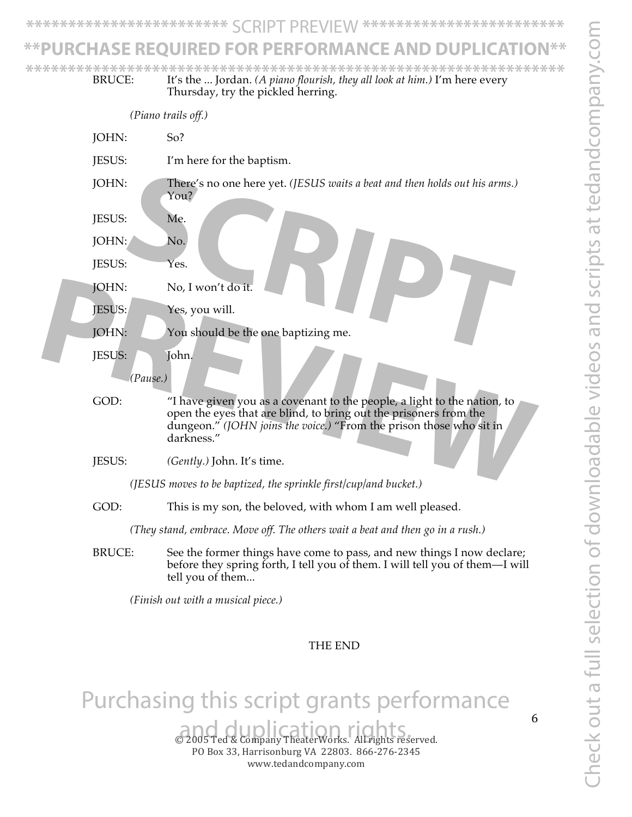Check out a full selection of downloadable videos and scripts at tedandcompany.com Theck out a full selection of downloadable videos and scripts at tedandcompany.con

6

**\*\*\*\*\*\*\*\*\*\*\*\*\*\*\*\*\*\*\*\*\*\*\*\*** SCRIPT PREVIEW **\*\*\*\*\*\*\*\*\*\*\*\*\*\*\*\*\*\*\*\*\*\*\*\***

#### URCHASE REQUIRED FOR PERFORMANCE AND DUPLICATI

BRUCE: It's the ... Jordan. *(A piano flourish, they all look at him.)* I'm here every Thursday, try the pickled herring. **\*\*\*\*\*\*\*\*\*\*\*\*\*\*\*\*\*\*\*\*\*\*\*\*\*\*\*\*\*\*\*\*\*\*\*\*\*\*\*\*\*\*\*\*\*\*\*\*\*\*\*\*\*\*\*\*\*\*\*\*\*\*\*\***

*(Piano trails off.)* JOHN: So? JESUS: I'm here for the baptism. JOHN: There's no one here yet. *(JESUS waits a beat and then holds out his arms.)* You? JESUS: Me. JOHN: No. JESUS: Yes. JOHN: No, I won't do it. JESUS: Yes, you will. JOHN: You should be the one baptizing me. JESUS: John. *(Pause.)* GOD: "I have given you as a covenant to the people, a light to the nation, to open the eyes that are blind, to bring out the prisoners from the dungeon." *(JOHN joins the voice.)* "From the prison those who sit in darkness." JESUS: *(Gently.)* John. It's time. *(JESUS moves to be baptized, the sprinkle first/cup/and bucket.)*  GOD: This is my son, the beloved, with whom I am well pleased. *(They stand, embrace. Move off. The others wait a beat and then go in a rush.)* BRUCE: See the former things have come to pass, and new things I now declare; before they spring forth, I tell you of them. I will tell you of them—I will tell you of them... *(Finish out with a musical piece.)* THE END There's no one here yet. (JESUS waits a beat and then holds out his arms.)<br>
You?<br> **SCRIPT ALCONS**<br>
Yes.<br>
No, I won't do it.<br>
Yes, you will.<br>
You should be the one baptizing me.<br>
Tohn **POHN:** No, I won't do it.<br> **PESUS:** Yes, you will.<br> **PESUS:** You should be the one baptizing me.<br> **PESUS:** John.<br> **PREVIEW:** Thave given you as a covenant to the people, a light to the nation, to<br>
open the eyes that are b

# Purchasing this script grants performance